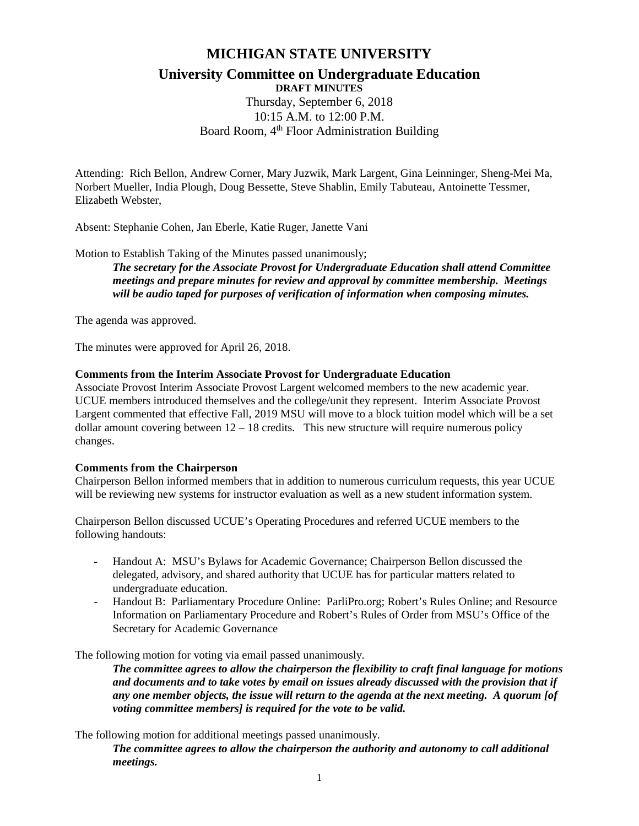# **MICHIGAN STATE UNIVERSITY**

#### **University Committee on Undergraduate Education DRAFT MINUTES**

Thursday, September 6, 2018 10:15 A.M. to 12:00 P.M. Board Room, 4<sup>th</sup> Floor Administration Building

Attending: Rich Bellon, Andrew Corner, Mary Juzwik, Mark Largent, Gina Leinninger, Sheng-Mei Ma, Norbert Mueller, India Plough, Doug Bessette, Steve Shablin, Emily Tabuteau, Antoinette Tessmer, Elizabeth Webster,

Absent: Stephanie Cohen, Jan Eberle, Katie Ruger, Janette Vani

Motion to Establish Taking of the Minutes passed unanimously;

*The secretary for the Associate Provost for Undergraduate Education shall attend Committee meetings and prepare minutes for review and approval by committee membership. Meetings will be audio taped for purposes of verification of information when composing minutes.*

The agenda was approved.

The minutes were approved for April 26, 2018.

### **Comments from the Interim Associate Provost for Undergraduate Education**

Associate Provost Interim Associate Provost Largent welcomed members to the new academic year. UCUE members introduced themselves and the college/unit they represent. Interim Associate Provost Largent commented that effective Fall, 2019 MSU will move to a block tuition model which will be a set dollar amount covering between  $12 - 18$  credits. This new structure will require numerous policy changes.

# **Comments from the Chairperson**

Chairperson Bellon informed members that in addition to numerous curriculum requests, this year UCUE will be reviewing new systems for instructor evaluation as well as a new student information system.

Chairperson Bellon discussed UCUE's Operating Procedures and referred UCUE members to the following handouts:

- Handout A: MSU's Bylaws for Academic Governance; Chairperson Bellon discussed the delegated, advisory, and shared authority that UCUE has for particular matters related to undergraduate education.
- Handout B: Parliamentary Procedure Online: ParliPro.org; Robert's Rules Online; and Resource Information on Parliamentary Procedure and Robert's Rules of Order from MSU's Office of the Secretary for Academic Governance

The following motion for voting via email passed unanimously.

*The committee agrees to allow the chairperson the flexibility to craft final language for motions and documents and to take votes by email on issues already discussed with the provision that if any one member objects, the issue will return to the agenda at the next meeting. A quorum [of voting committee members] is required for the vote to be valid.*

The following motion for additional meetings passed unanimously.

*The committee agrees to allow the chairperson the authority and autonomy to call additional meetings.*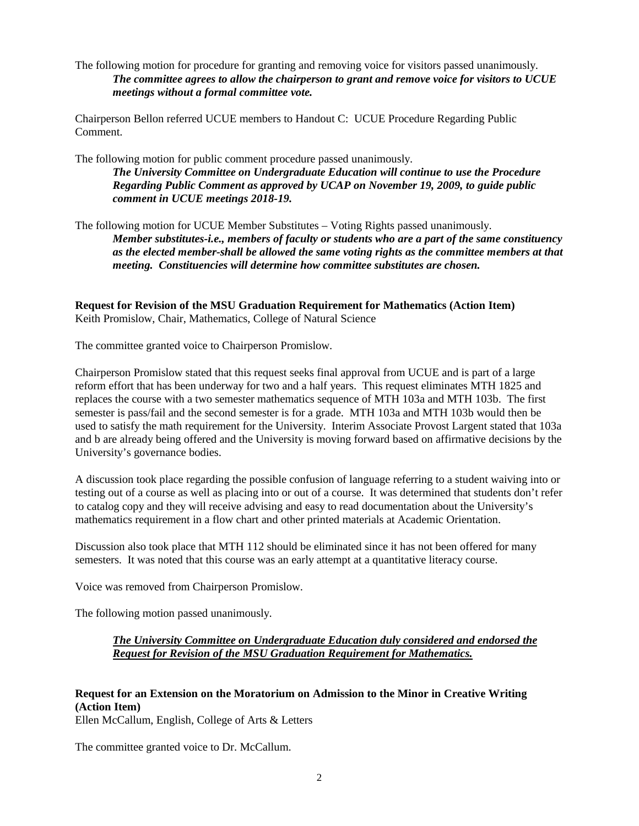The following motion for procedure for granting and removing voice for visitors passed unanimously. *The committee agrees to allow the chairperson to grant and remove voice for visitors to UCUE meetings without a formal committee vote.*

Chairperson Bellon referred UCUE members to Handout C: UCUE Procedure Regarding Public Comment.

The following motion for public comment procedure passed unanimously.

*The University Committee on Undergraduate Education will continue to use the Procedure Regarding Public Comment as approved by UCAP on November 19, 2009, to guide public comment in UCUE meetings 2018-19.*

The following motion for UCUE Member Substitutes – Voting Rights passed unanimously. *Member substitutes-i.e., members of faculty or students who are a part of the same constituency as the elected member-shall be allowed the same voting rights as the committee members at that meeting. Constituencies will determine how committee substitutes are chosen.*

**Request for Revision of the MSU Graduation Requirement for Mathematics (Action Item)** Keith Promislow, Chair, Mathematics, College of Natural Science

The committee granted voice to Chairperson Promislow.

Chairperson Promislow stated that this request seeks final approval from UCUE and is part of a large reform effort that has been underway for two and a half years. This request eliminates MTH 1825 and replaces the course with a two semester mathematics sequence of MTH 103a and MTH 103b. The first semester is pass/fail and the second semester is for a grade. MTH 103a and MTH 103b would then be used to satisfy the math requirement for the University. Interim Associate Provost Largent stated that 103a and b are already being offered and the University is moving forward based on affirmative decisions by the University's governance bodies.

A discussion took place regarding the possible confusion of language referring to a student waiving into or testing out of a course as well as placing into or out of a course. It was determined that students don't refer to catalog copy and they will receive advising and easy to read documentation about the University's mathematics requirement in a flow chart and other printed materials at Academic Orientation.

Discussion also took place that MTH 112 should be eliminated since it has not been offered for many semesters. It was noted that this course was an early attempt at a quantitative literacy course.

Voice was removed from Chairperson Promislow.

The following motion passed unanimously.

#### *The University Committee on Undergraduate Education duly considered and endorsed the Request for Revision of the MSU Graduation Requirement for Mathematics.*

# **Request for an Extension on the Moratorium on Admission to the Minor in Creative Writing (Action Item)**

Ellen McCallum, English, College of Arts & Letters

The committee granted voice to Dr. McCallum.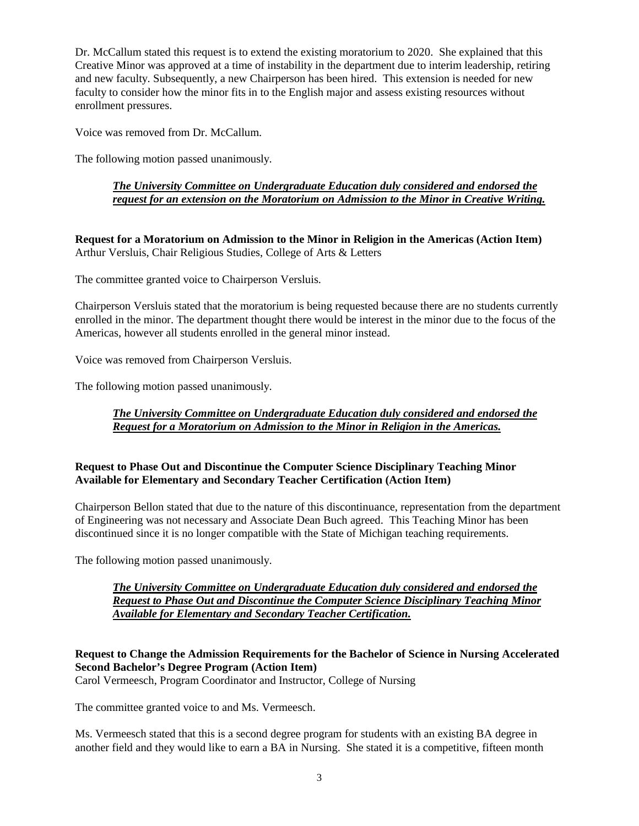Dr. McCallum stated this request is to extend the existing moratorium to 2020. She explained that this Creative Minor was approved at a time of instability in the department due to interim leadership, retiring and new faculty. Subsequently, a new Chairperson has been hired. This extension is needed for new faculty to consider how the minor fits in to the English major and assess existing resources without enrollment pressures.

Voice was removed from Dr. McCallum.

The following motion passed unanimously.

## *The University Committee on Undergraduate Education duly considered and endorsed the request for an extension on the Moratorium on Admission to the Minor in Creative Writing.*

**Request for a Moratorium on Admission to the Minor in Religion in the Americas (Action Item)** Arthur Versluis, Chair Religious Studies, College of Arts & Letters

The committee granted voice to Chairperson Versluis.

Chairperson Versluis stated that the moratorium is being requested because there are no students currently enrolled in the minor. The department thought there would be interest in the minor due to the focus of the Americas, however all students enrolled in the general minor instead.

Voice was removed from Chairperson Versluis.

The following motion passed unanimously.

# *The University Committee on Undergraduate Education duly considered and endorsed the Request for a Moratorium on Admission to the Minor in Religion in the Americas.*

### **Request to Phase Out and Discontinue the Computer Science Disciplinary Teaching Minor Available for Elementary and Secondary Teacher Certification (Action Item)**

Chairperson Bellon stated that due to the nature of this discontinuance, representation from the department of Engineering was not necessary and Associate Dean Buch agreed. This Teaching Minor has been discontinued since it is no longer compatible with the State of Michigan teaching requirements.

The following motion passed unanimously.

#### *The University Committee on Undergraduate Education duly considered and endorsed the Request to Phase Out and Discontinue the Computer Science Disciplinary Teaching Minor Available for Elementary and Secondary Teacher Certification.*

# **Request to Change the Admission Requirements for the Bachelor of Science in Nursing Accelerated Second Bachelor's Degree Program (Action Item)**

Carol Vermeesch, Program Coordinator and Instructor, College of Nursing

The committee granted voice to and Ms. Vermeesch.

Ms. Vermeesch stated that this is a second degree program for students with an existing BA degree in another field and they would like to earn a BA in Nursing. She stated it is a competitive, fifteen month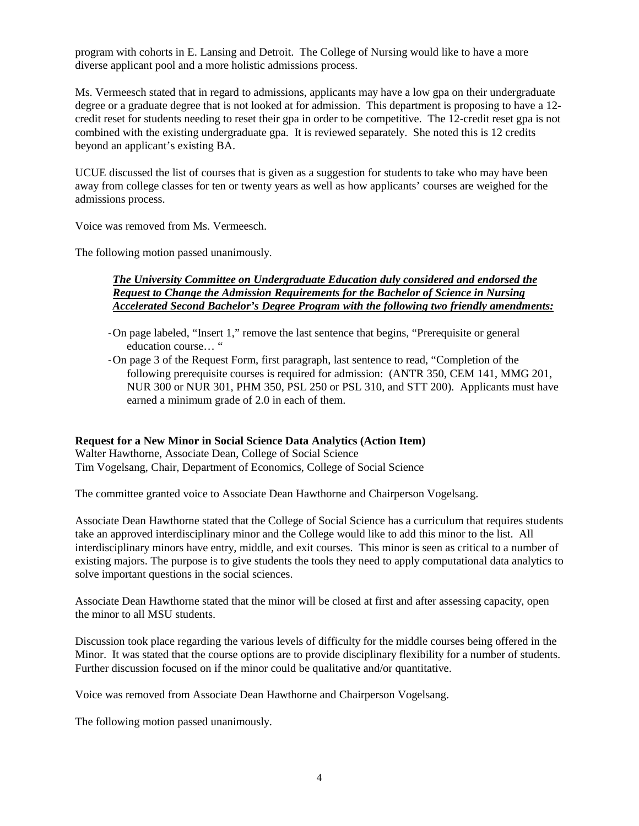program with cohorts in E. Lansing and Detroit. The College of Nursing would like to have a more diverse applicant pool and a more holistic admissions process.

Ms. Vermeesch stated that in regard to admissions, applicants may have a low gpa on their undergraduate degree or a graduate degree that is not looked at for admission. This department is proposing to have a 12 credit reset for students needing to reset their gpa in order to be competitive. The 12-credit reset gpa is not combined with the existing undergraduate gpa. It is reviewed separately. She noted this is 12 credits beyond an applicant's existing BA.

UCUE discussed the list of courses that is given as a suggestion for students to take who may have been away from college classes for ten or twenty years as well as how applicants' courses are weighed for the admissions process.

Voice was removed from Ms. Vermeesch.

The following motion passed unanimously.

#### *The University Committee on Undergraduate Education duly considered and endorsed the Request to Change the Admission Requirements for the Bachelor of Science in Nursing Accelerated Second Bachelor's Degree Program with the following two friendly amendments:*

- -On page labeled, "Insert 1," remove the last sentence that begins, "Prerequisite or general education course… "
- -On page 3 of the Request Form, first paragraph, last sentence to read, "Completion of the following prerequisite courses is required for admission: (ANTR 350, CEM 141, MMG 201, NUR 300 or NUR 301, PHM 350, PSL 250 or PSL 310, and STT 200). Applicants must have earned a minimum grade of 2.0 in each of them.

#### **Request for a New Minor in Social Science Data Analytics (Action Item)**

Walter Hawthorne, Associate Dean, College of Social Science Tim Vogelsang, Chair, Department of Economics, College of Social Science

The committee granted voice to Associate Dean Hawthorne and Chairperson Vogelsang.

Associate Dean Hawthorne stated that the College of Social Science has a curriculum that requires students take an approved interdisciplinary minor and the College would like to add this minor to the list. All interdisciplinary minors have entry, middle, and exit courses. This minor is seen as critical to a number of existing majors. The purpose is to give students the tools they need to apply computational data analytics to solve important questions in the social sciences.

Associate Dean Hawthorne stated that the minor will be closed at first and after assessing capacity, open the minor to all MSU students.

Discussion took place regarding the various levels of difficulty for the middle courses being offered in the Minor. It was stated that the course options are to provide disciplinary flexibility for a number of students. Further discussion focused on if the minor could be qualitative and/or quantitative.

Voice was removed from Associate Dean Hawthorne and Chairperson Vogelsang.

The following motion passed unanimously.